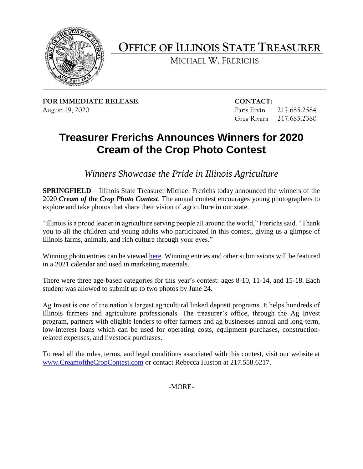

# **OFFICE OF ILLINOIS STATE TREASURER**

MICHAEL W. FRERICHS

**FOR IMMEDIATE RELEASE: CONTACT:**  August 19, 2020 Paris Ervin 217.685.2584

Greg Rivara 217.685.2380

## **Treasurer Frerichs Announces Winners for 2020 Cream of the Crop Photo Contest**

*Winners Showcase the Pride in Illinois Agriculture* 

 2020 *Cream of the Crop Photo Contest*. The annual contest encourages young photographers to **SPRINGFIELD** – Illinois State Treasurer Michael Frerichs today announced the winners of the explore and take photos that share their vision of agriculture in our state.

 "Illinois is a proud leader in agriculture serving people all around the world," Frerichs said. "Thank you to all the children and young adults who participated in this contest, giving us a glimpse of Illinois farms, animals, and rich culture through your eyes."

Winning photo entries can be viewed [here.](https://www.illinoistreasurer.gov/Invest_in_Illinois/Ag_Invest/Cream_of_the_Crop_Photo_Contest/Cream_of_the_Crop_Winners) Winning entries and other submissions will be featured in a 2021 calendar and used in marketing materials.

 There were three age-based categories for this year's contest: ages 8-10, 11-14, and 15-18. Each student was allowed to submit up to two photos by June 24.

 low-interest loans which can be used for operating costs, equipment purchases, constructionrelated expenses, and livestock purchases. Ag Invest is one of the nation's largest agricultural linked deposit programs. It helps hundreds of Illinois farmers and agriculture professionals. The treasurer's office, through the Ag Invest program, partners with eligible lenders to offer farmers and ag businesses annual and long-term,

related expenses, and livestock purchases.<br>To read all the rules, terms, and legal conditions associated with this contest, visit our website at <www.CreamoftheCropContest.com>or contact Rebecca Huston at 217.558.6217.

-MORE-